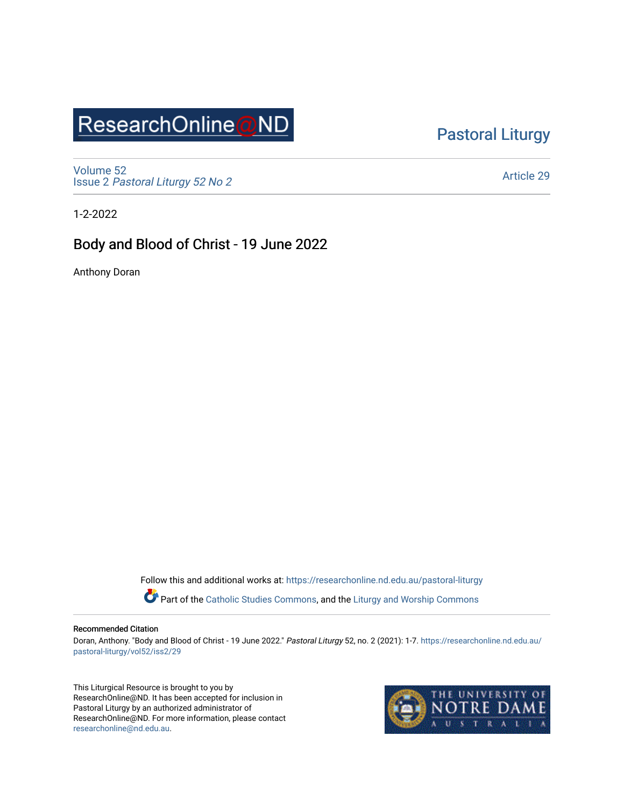# ResearchOnline@ND

[Pastoral Liturgy](https://researchonline.nd.edu.au/pastoral-liturgy) 

[Volume 52](https://researchonline.nd.edu.au/pastoral-liturgy/vol52) Issue 2 [Pastoral Liturgy 52 No 2](https://researchonline.nd.edu.au/pastoral-liturgy/vol52/iss2)

[Article 29](https://researchonline.nd.edu.au/pastoral-liturgy/vol52/iss2/29) 

1-2-2022

### Body and Blood of Christ - 19 June 2022

Anthony Doran

Follow this and additional works at: [https://researchonline.nd.edu.au/pastoral-liturgy](https://researchonline.nd.edu.au/pastoral-liturgy?utm_source=researchonline.nd.edu.au%2Fpastoral-liturgy%2Fvol52%2Fiss2%2F29&utm_medium=PDF&utm_campaign=PDFCoverPages)

Part of the [Catholic Studies Commons,](http://network.bepress.com/hgg/discipline/1294?utm_source=researchonline.nd.edu.au%2Fpastoral-liturgy%2Fvol52%2Fiss2%2F29&utm_medium=PDF&utm_campaign=PDFCoverPages) and the Liturgy and Worship Commons

#### Recommended Citation

Doran, Anthony. "Body and Blood of Christ - 19 June 2022." Pastoral Liturgy 52, no. 2 (2021): 1-7. [https://researchonline.nd.edu.au/](https://researchonline.nd.edu.au/pastoral-liturgy/vol52/iss2/29?utm_source=researchonline.nd.edu.au%2Fpastoral-liturgy%2Fvol52%2Fiss2%2F29&utm_medium=PDF&utm_campaign=PDFCoverPages) [pastoral-liturgy/vol52/iss2/29](https://researchonline.nd.edu.au/pastoral-liturgy/vol52/iss2/29?utm_source=researchonline.nd.edu.au%2Fpastoral-liturgy%2Fvol52%2Fiss2%2F29&utm_medium=PDF&utm_campaign=PDFCoverPages) 

This Liturgical Resource is brought to you by ResearchOnline@ND. It has been accepted for inclusion in Pastoral Liturgy by an authorized administrator of ResearchOnline@ND. For more information, please contact [researchonline@nd.edu.au.](mailto:researchonline@nd.edu.au)

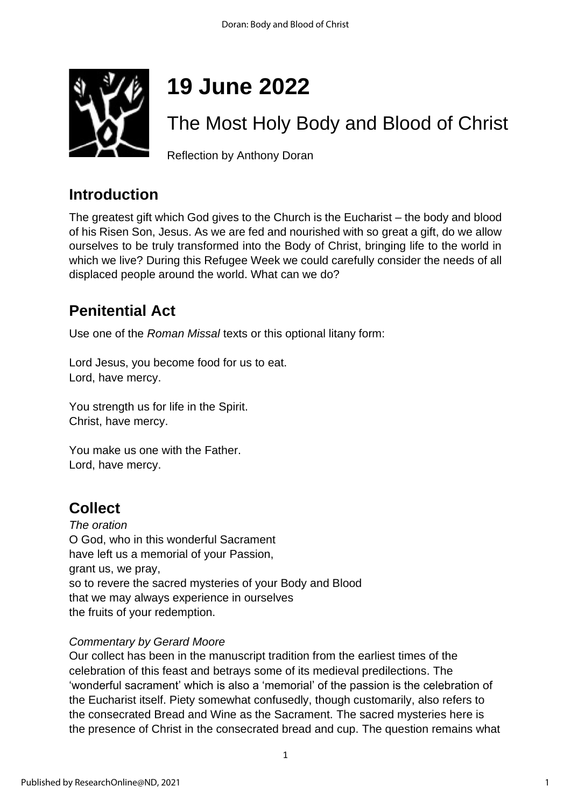

# **19 June 2022**

# The Most Holy Body and Blood of Christ

Reflection by Anthony Doran

## **Introduction**

The greatest gift which God gives to the Church is the Eucharist – the body and blood of his Risen Son, Jesus. As we are fed and nourished with so great a gift, do we allow ourselves to be truly transformed into the Body of Christ, bringing life to the world in which we live? During this Refugee Week we could carefully consider the needs of all displaced people around the world. What can we do?

# **Penitential Act**

Use one of the *Roman Missal* texts or this optional litany form:

Lord Jesus, you become food for us to eat. Lord, have mercy.

You strength us for life in the Spirit. Christ, have mercy.

You make us one with the Father. Lord, have mercy.

# **Collect**

*The oration* O God, who in this wonderful Sacrament have left us a memorial of your Passion, grant us, we pray, so to revere the sacred mysteries of your Body and Blood that we may always experience in ourselves the fruits of your redemption.

### *Commentary by Gerard Moore*

Our collect has been in the manuscript tradition from the earliest times of the celebration of this feast and betrays some of its medieval predilections. The 'wonderful sacrament' which is also a 'memorial' of the passion is the celebration of the Eucharist itself. Piety somewhat confusedly, though customarily, also refers to the consecrated Bread and Wine as the Sacrament. The sacred mysteries here is the presence of Christ in the consecrated bread and cup. The question remains what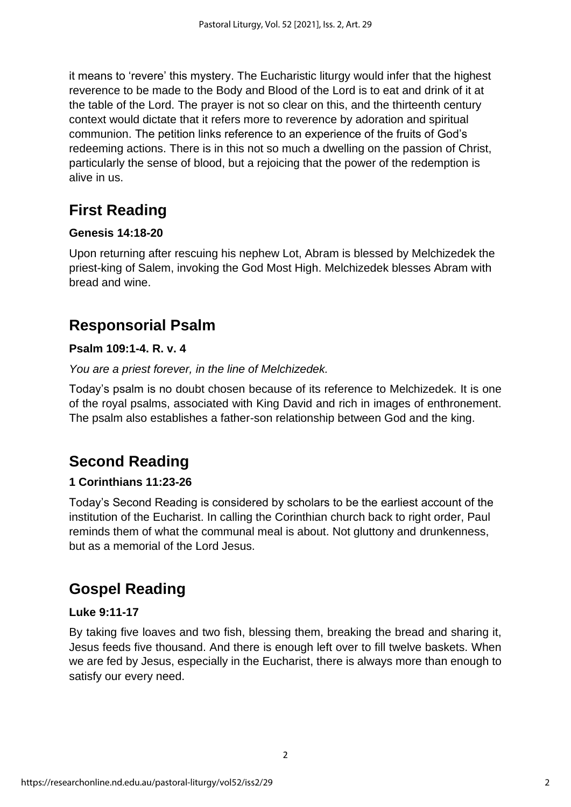it means to 'revere' this mystery. The Eucharistic liturgy would infer that the highest reverence to be made to the Body and Blood of the Lord is to eat and drink of it at the table of the Lord. The prayer is not so clear on this, and the thirteenth century context would dictate that it refers more to reverence by adoration and spiritual communion. The petition links reference to an experience of the fruits of God's redeeming actions. There is in this not so much a dwelling on the passion of Christ, particularly the sense of blood, but a rejoicing that the power of the redemption is alive in us.

# **First Reading**

### **Genesis 14:18-20**

Upon returning after rescuing his nephew Lot, Abram is blessed by Melchizedek the priest-king of Salem, invoking the God Most High. Melchizedek blesses Abram with bread and wine.

# **Responsorial Psalm**

### **Psalm 109:1-4. R. v. 4**

#### *You are a priest forever, in the line of Melchizedek.*

Today's psalm is no doubt chosen because of its reference to Melchizedek. It is one of the royal psalms, associated with King David and rich in images of enthronement. The psalm also establishes a father-son relationship between God and the king.

# **Second Reading**

### **1 Corinthians 11:23-26**

Today's Second Reading is considered by scholars to be the earliest account of the institution of the Eucharist. In calling the Corinthian church back to right order, Paul reminds them of what the communal meal is about. Not gluttony and drunkenness, but as a memorial of the Lord Jesus.

## **Gospel Reading**

### **Luke 9:11-17**

By taking five loaves and two fish, blessing them, breaking the bread and sharing it, Jesus feeds five thousand. And there is enough left over to fill twelve baskets. When we are fed by Jesus, especially in the Eucharist, there is always more than enough to satisfy our every need.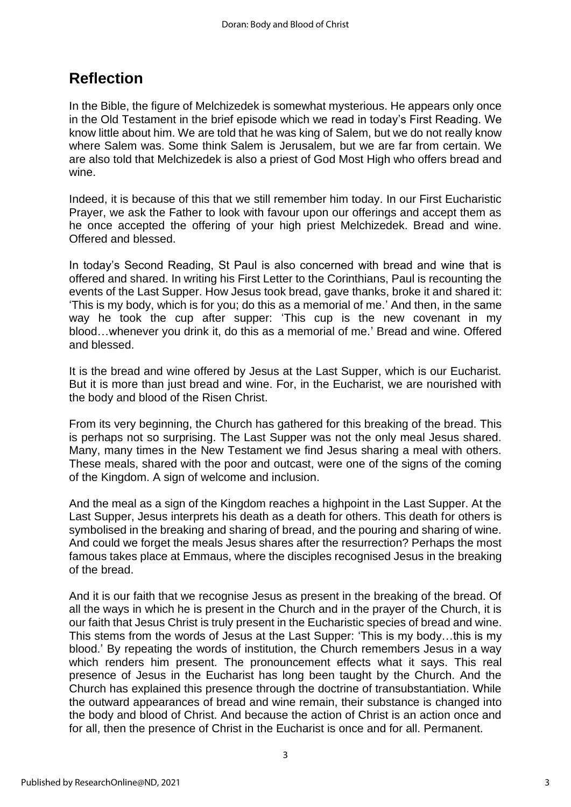### **Reflection**

In the Bible, the figure of Melchizedek is somewhat mysterious. He appears only once in the Old Testament in the brief episode which we read in today's First Reading. We know little about him. We are told that he was king of Salem, but we do not really know where Salem was. Some think Salem is Jerusalem, but we are far from certain. We are also told that Melchizedek is also a priest of God Most High who offers bread and wine.

Indeed, it is because of this that we still remember him today. In our First Eucharistic Prayer, we ask the Father to look with favour upon our offerings and accept them as he once accepted the offering of your high priest Melchizedek. Bread and wine. Offered and blessed.

In today's Second Reading, St Paul is also concerned with bread and wine that is offered and shared. In writing his First Letter to the Corinthians, Paul is recounting the events of the Last Supper. How Jesus took bread, gave thanks, broke it and shared it: 'This is my body, which is for you; do this as a memorial of me.' And then, in the same way he took the cup after supper: 'This cup is the new covenant in my blood…whenever you drink it, do this as a memorial of me.' Bread and wine. Offered and blessed.

It is the bread and wine offered by Jesus at the Last Supper, which is our Eucharist. But it is more than just bread and wine. For, in the Eucharist, we are nourished with the body and blood of the Risen Christ.

From its very beginning, the Church has gathered for this breaking of the bread. This is perhaps not so surprising. The Last Supper was not the only meal Jesus shared. Many, many times in the New Testament we find Jesus sharing a meal with others. These meals, shared with the poor and outcast, were one of the signs of the coming of the Kingdom. A sign of welcome and inclusion.

And the meal as a sign of the Kingdom reaches a highpoint in the Last Supper. At the Last Supper, Jesus interprets his death as a death for others. This death for others is symbolised in the breaking and sharing of bread, and the pouring and sharing of wine. And could we forget the meals Jesus shares after the resurrection? Perhaps the most famous takes place at Emmaus, where the disciples recognised Jesus in the breaking of the bread.

And it is our faith that we recognise Jesus as present in the breaking of the bread. Of all the ways in which he is present in the Church and in the prayer of the Church, it is our faith that Jesus Christ is truly present in the Eucharistic species of bread and wine. This stems from the words of Jesus at the Last Supper: 'This is my body…this is my blood.' By repeating the words of institution, the Church remembers Jesus in a way which renders him present. The pronouncement effects what it says. This real presence of Jesus in the Eucharist has long been taught by the Church. And the Church has explained this presence through the doctrine of transubstantiation. While the outward appearances of bread and wine remain, their substance is changed into the body and blood of Christ. And because the action of Christ is an action once and for all, then the presence of Christ in the Eucharist is once and for all. Permanent.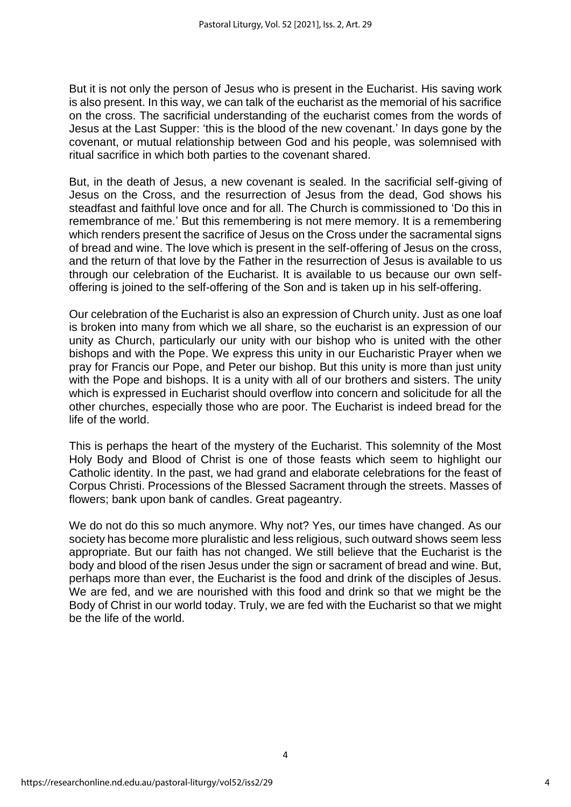But it is not only the person of Jesus who is present in the Eucharist. His saving work is also present. In this way, we can talk of the eucharist as the memorial of his sacrifice on the cross. The sacrificial understanding of the eucharist comes from the words of Jesus at the Last Supper: 'this is the blood of the new covenant.' In days gone by the covenant, or mutual relationship between God and his people, was solemnised with ritual sacrifice in which both parties to the covenant shared.

But, in the death of Jesus, a new covenant is sealed. In the sacrificial self-giving of Jesus on the Cross, and the resurrection of Jesus from the dead, God shows his steadfast and faithful love once and for all. The Church is commissioned to 'Do this in remembrance of me.' But this remembering is not mere memory. It is a remembering which renders present the sacrifice of Jesus on the Cross under the sacramental signs of bread and wine. The love which is present in the self-offering of Jesus on the cross, and the return of that love by the Father in the resurrection of Jesus is available to us through our celebration of the Eucharist. It is available to us because our own selfoffering is joined to the self-offering of the Son and is taken up in his self-offering.

Our celebration of the Eucharist is also an expression of Church unity. Just as one loaf is broken into many from which we all share, so the eucharist is an expression of our unity as Church, particularly our unity with our bishop who is united with the other bishops and with the Pope. We express this unity in our Eucharistic Prayer when we pray for Francis our Pope, and Peter our bishop. But this unity is more than just unity with the Pope and bishops. It is a unity with all of our brothers and sisters. The unity which is expressed in Eucharist should overflow into concern and solicitude for all the other churches, especially those who are poor. The Eucharist is indeed bread for the life of the world.

This is perhaps the heart of the mystery of the Eucharist. This solemnity of the Most Holy Body and Blood of Christ is one of those feasts which seem to highlight our Catholic identity. In the past, we had grand and elaborate celebrations for the feast of Corpus Christi. Processions of the Blessed Sacrament through the streets. Masses of flowers; bank upon bank of candles. Great pageantry.

We do not do this so much anymore. Why not? Yes, our times have changed. As our society has become more pluralistic and less religious, such outward shows seem less appropriate. But our faith has not changed. We still believe that the Eucharist is the body and blood of the risen Jesus under the sign or sacrament of bread and wine. But, perhaps more than ever, the Eucharist is the food and drink of the disciples of Jesus. We are fed, and we are nourished with this food and drink so that we might be the Body of Christ in our world today. Truly, we are fed with the Eucharist so that we might be the life of the world.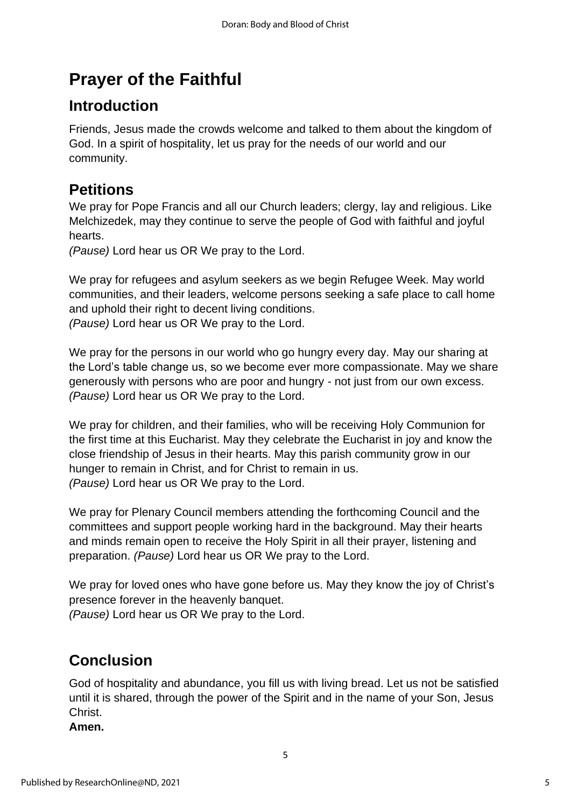# **Prayer of the Faithful**

# **Introduction**

Friends, Jesus made the crowds welcome and talked to them about the kingdom of God. In a spirit of hospitality, let us pray for the needs of our world and our community.

# **Petitions**

We pray for Pope Francis and all our Church leaders; clergy, lay and religious, Like Melchizedek, may they continue to serve the people of God with faithful and joyful hearts.

*(Pause)* Lord hear us OR We pray to the Lord.

We pray for refugees and asylum seekers as we begin Refugee Week. May world communities, and their leaders, welcome persons seeking a safe place to call home and uphold their right to decent living conditions. *(Pause)* Lord hear us OR We pray to the Lord.

We pray for the persons in our world who go hungry every day. May our sharing at the Lord's table change us, so we become ever more compassionate. May we share generously with persons who are poor and hungry - not just from our own excess. *(Pause)* Lord hear us OR We pray to the Lord.

We pray for children, and their families, who will be receiving Holy Communion for the first time at this Eucharist. May they celebrate the Eucharist in joy and know the close friendship of Jesus in their hearts. May this parish community grow in our hunger to remain in Christ, and for Christ to remain in us. *(Pause)* Lord hear us OR We pray to the Lord.

We pray for Plenary Council members attending the forthcoming Council and the committees and support people working hard in the background. May their hearts and minds remain open to receive the Holy Spirit in all their prayer, listening and preparation. *(Pause)* Lord hear us OR We pray to the Lord.

We pray for loved ones who have gone before us. May they know the joy of Christ's presence forever in the heavenly banquet. *(Pause)* Lord hear us OR We pray to the Lord.

# **Conclusion**

God of hospitality and abundance, you fill us with living bread. Let us not be satisfied until it is shared, through the power of the Spirit and in the name of your Son, Jesus Christ.

5

**Amen.**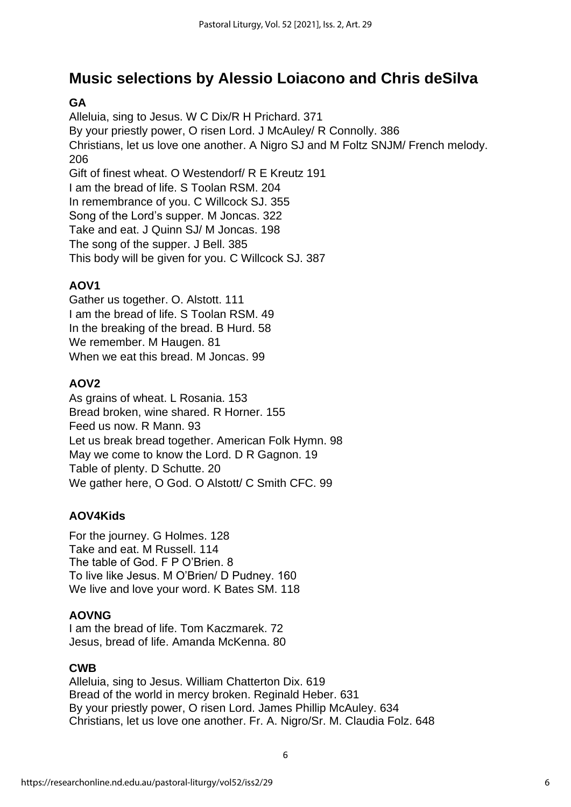## **Music selections by Alessio Loiacono and Chris deSilva**

### **GA**

Alleluia, sing to Jesus. W C Dix/R H Prichard. 371 By your priestly power, O risen Lord. J McAuley/ R Connolly. 386 Christians, let us love one another. A Nigro SJ and M Foltz SNJM/ French melody. 206 Gift of finest wheat. O Westendorf/ R E Kreutz 191 I am the bread of life. S Toolan RSM. 204 In remembrance of you. C Willcock SJ. 355 Song of the Lord's supper. M Joncas. 322 Take and eat. J Quinn SJ/ M Joncas. 198 The song of the supper. J Bell. 385 This body will be given for you. C Willcock SJ. 387

### **AOV1**

Gather us together. O. Alstott. 111 I am the bread of life. S Toolan RSM. 49 In the breaking of the bread. B Hurd. 58 We remember. M Haugen. 81 When we eat this bread. M Joncas. 99

### **AOV2**

As grains of wheat. L Rosania. 153 Bread broken, wine shared. R Horner. 155 Feed us now. R Mann. 93 Let us break bread together. American Folk Hymn. 98 May we come to know the Lord. D R Gagnon. 19 Table of plenty. D Schutte. 20 We gather here, O God. O Alstott/ C Smith CFC. 99

### **AOV4Kids**

For the journey. G Holmes. 128 Take and eat. M Russell. 114 The table of God. F P O'Brien. 8 To live like Jesus. M O'Brien/ D Pudney. 160 We live and love your word. K Bates SM. 118

### **AOVNG**

I am the bread of life. Tom Kaczmarek. 72 Jesus, bread of life. Amanda McKenna. 80

### **CWB**

Alleluia, sing to Jesus. William Chatterton Dix. 619 Bread of the world in mercy broken. Reginald Heber. 631 By your priestly power, O risen Lord. James Phillip McAuley. 634 Christians, let us love one another. Fr. A. Nigro/Sr. M. Claudia Folz. 648